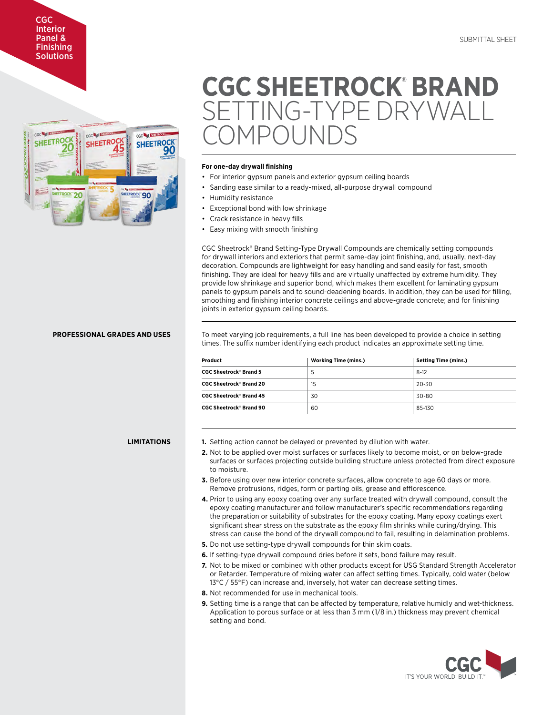# CGC Interior Panel & **Finishing** Solutions



# **CGC SHEETROCK**®  **BRAND**  TTING-TYPE DRYWALL  $1P\bigcap I$  Inii

## **For one-day drywall finishing**

- For interior gypsum panels and exterior gypsum ceiling boards
- Sanding ease similar to a ready-mixed, all-purpose drywall compound
- Humidity resistance
- Exceptional bond with low shrinkage
- Crack resistance in heavy fills
- Easy mixing with smooth finishing

CGC Sheetrock® Brand Setting-Type Drywall Compounds are chemically setting compounds for drywall interiors and exteriors that permit same-day joint finishing, and, usually, next-day decoration. Compounds are lightweight for easy handling and sand easily for fast, smooth finishing. They are ideal for heavy fills and are virtually unaffected by extreme humidity. They provide low shrinkage and superior bond, which makes them excellent for laminating gypsum panels to gypsum panels and to sound-deadening boards. In addition, they can be used for filling, smoothing and finishing interior concrete ceilings and above-grade concrete; and for finishing joints in exterior gypsum ceiling boards.

# **PROFESSIONAL GRADES AND USES**

To meet varying job requirements, a full line has been developed to provide a choice in setting times. The suffix number identifying each product indicates an approximate setting time.

| Product                                   | <b>Working Time (mins.)</b> | <b>Setting Time (mins.)</b> |
|-------------------------------------------|-----------------------------|-----------------------------|
| <b>CGC Sheetrock<sup>®</sup> Brand 5</b>  | 5.                          | $8-12$                      |
| <b>CGC Sheetrock<sup>®</sup> Brand 20</b> | 15                          | 20-30                       |
| <b>CGC Sheetrock® Brand 45</b>            | 30                          | 30-80                       |
| <b>CGC Sheetrock<sup>®</sup> Brand 90</b> | 60                          | 85-130                      |

### **LIMITATIONS**

- **1.** Setting action cannot be delayed or prevented by dilution with water.
- **2.** Not to be applied over moist surfaces or surfaces likely to become moist, or on below-grade surfaces or surfaces projecting outside building structure unless protected from direct exposure to moisture.
- **3.** Before using over new interior concrete surfaces, allow concrete to age 60 days or more. Remove protrusions, ridges, form or parting oils, grease and efflorescence.
- **4.** Prior to using any epoxy coating over any surface treated with drywall compound, consult the epoxy coating manufacturer and follow manufacturer's specific recommendations regarding the preparation or suitability of substrates for the epoxy coating. Many epoxy coatings exert significant shear stress on the substrate as the epoxy film shrinks while curing/drying. This stress can cause the bond of the drywall compound to fail, resulting in delamination problems.
- **5.** Do not use setting-type drywall compounds for thin skim coats.
- **6.** If setting-type drywall compound dries before it sets, bond failure may result.
- **7.** Not to be mixed or combined with other products except for USG Standard Strength Accelerator or Retarder. Temperature of mixing water can affect setting times. Typically, cold water (below 13°C / 55°F) can increase and, inversely, hot water can decrease setting times.
- **8.** Not recommended for use in mechanical tools.
- **9.** Setting time is a range that can be affected by temperature, relative humidly and wet-thickness. Application to porous surface or at less than 3 mm (1/8 in.) thickness may prevent chemical setting and bond.

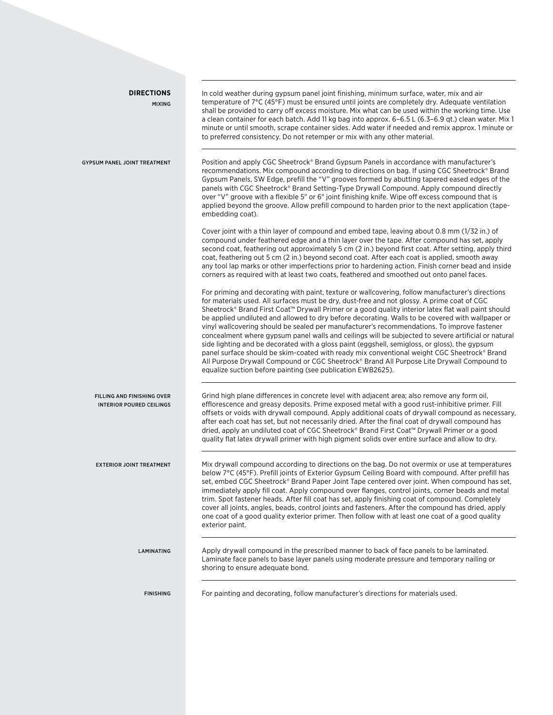| <b>DIRECTIONS</b><br><b>MIXING</b>                            | In cold weather during gypsum panel joint finishing, minimum surface, water, mix and air<br>temperature of 7°C (45°F) must be ensured until joints are completely dry. Adequate ventilation<br>shall be provided to carry off excess moisture. Mix what can be used within the working time. Use<br>a clean container for each batch. Add 11 kg bag into approx. 6-6.5 L (6.3-6.9 gt.) clean water. Mix 1<br>minute or until smooth, scrape container sides. Add water if needed and remix approx. 1 minute or<br>to preferred consistency. Do not retemper or mix with any other material.                                                                                                                                                                                                                                                                                                                                                                                  |
|---------------------------------------------------------------|------------------------------------------------------------------------------------------------------------------------------------------------------------------------------------------------------------------------------------------------------------------------------------------------------------------------------------------------------------------------------------------------------------------------------------------------------------------------------------------------------------------------------------------------------------------------------------------------------------------------------------------------------------------------------------------------------------------------------------------------------------------------------------------------------------------------------------------------------------------------------------------------------------------------------------------------------------------------------|
| <b>GYPSUM PANEL JOINT TREATMENT</b>                           | Position and apply CGC Sheetrock® Brand Gypsum Panels in accordance with manufacturer's<br>recommendations. Mix compound according to directions on bag. If using CGC Sheetrock® Brand<br>Gypsum Panels, SW Edge, prefill the "V" grooves formed by abutting tapered eased edges of the<br>panels with CGC Sheetrock® Brand Setting-Type Drywall Compound. Apply compound directly<br>over "V" groove with a flexible 5" or 6" joint finishing knife. Wipe off excess compound that is<br>applied beyond the groove. Allow prefill compound to harden prior to the next application (tape-<br>embedding coat).                                                                                                                                                                                                                                                                                                                                                               |
|                                                               | Cover joint with a thin layer of compound and embed tape, leaving about 0.8 mm (1/32 in.) of<br>compound under feathered edge and a thin layer over the tape. After compound has set, apply<br>second coat, feathering out approximately 5 cm (2 in.) beyond first coat. After setting, apply third<br>coat, feathering out 5 cm (2 in.) beyond second coat. After each coat is applied, smooth away<br>any tool lap marks or other imperfections prior to hardening action. Finish corner bead and inside<br>corners as required with at least two coats, feathered and smoothed out onto panel faces.                                                                                                                                                                                                                                                                                                                                                                      |
|                                                               | For priming and decorating with paint, texture or wallcovering, follow manufacturer's directions<br>for materials used. All surfaces must be dry, dust-free and not glossy. A prime coat of CGC<br>Sheetrock® Brand First Coat™ Drywall Primer or a good quality interior latex flat wall paint should<br>be applied undiluted and allowed to dry before decorating. Walls to be covered with wallpaper or<br>vinyl wallcovering should be sealed per manufacturer's recommendations. To improve fastener<br>concealment where gypsum panel walls and ceilings will be subjected to severe artificial or natural<br>side lighting and be decorated with a gloss paint (eggshell, semigloss, or gloss), the gypsum<br>panel surface should be skim-coated with ready mix conventional weight CGC Sheetrock® Brand<br>All Purpose Drywall Compound or CGC Sheetrock® Brand All Purpose Lite Drywall Compound to<br>equalize suction before painting (see publication EWB2625). |
| FILLING AND FINISHING OVER<br><b>INTERIOR POURED CEILINGS</b> | Grind high plane differences in concrete level with adjacent area; also remove any form oil,<br>efflorescence and greasy deposits. Prime exposed metal with a good rust-inhibitive primer. Fill<br>offsets or voids with drywall compound. Apply additional coats of drywall compound as necessary,<br>after each coat has set, but not necessarily dried. After the final coat of drywall compound has<br>dried, apply an undiluted coat of CGC Sheetrock® Brand First Coat™ Drywall Primer or a good<br>quality flat latex drywall primer with high pigment solids over entire surface and allow to dry.                                                                                                                                                                                                                                                                                                                                                                   |
| <b>EXTERIOR JOINT TREATMENT</b>                               | Mix drywall compound according to directions on the bag. Do not overmix or use at temperatures<br>below 7°C (45°F). Prefill joints of Exterior Gypsum Ceiling Board with compound. After prefill has<br>set, embed CGC Sheetrock® Brand Paper Joint Tape centered over joint. When compound has set,<br>immediately apply fill coat. Apply compound over flanges, control joints, corner beads and metal<br>trim. Spot fastener heads. After fill coat has set, apply finishing coat of compound. Completely<br>cover all joints, angles, beads, control joints and fasteners. After the compound has dried, apply<br>one coat of a good quality exterior primer. Then follow with at least one coat of a good quality<br>exterior paint.                                                                                                                                                                                                                                    |
| LAMINATING                                                    | Apply drywall compound in the prescribed manner to back of face panels to be laminated.<br>Laminate face panels to base layer panels using moderate pressure and temporary nailing or<br>shoring to ensure adequate bond.                                                                                                                                                                                                                                                                                                                                                                                                                                                                                                                                                                                                                                                                                                                                                    |
| <b>FINISHING</b>                                              | For painting and decorating, follow manufacturer's directions for materials used.                                                                                                                                                                                                                                                                                                                                                                                                                                                                                                                                                                                                                                                                                                                                                                                                                                                                                            |
|                                                               |                                                                                                                                                                                                                                                                                                                                                                                                                                                                                                                                                                                                                                                                                                                                                                                                                                                                                                                                                                              |